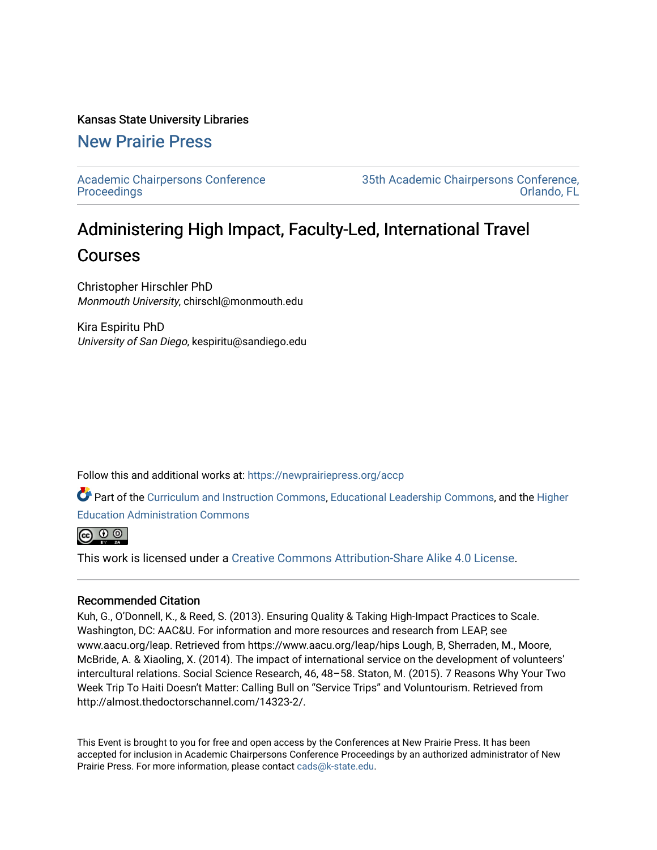#### Kansas State University Libraries

# [New Prairie Press](https://newprairiepress.org/)

[Academic Chairpersons Conference](https://newprairiepress.org/accp)  **Proceedings** 

[35th Academic Chairpersons Conference,](https://newprairiepress.org/accp/2018)  [Orlando, FL](https://newprairiepress.org/accp/2018) 

# Administering High Impact, Faculty-Led, International Travel Courses

Christopher Hirschler PhD Monmouth University, chirschl@monmouth.edu

Kira Espiritu PhD University of San Diego, kespiritu@sandiego.edu

Follow this and additional works at: [https://newprairiepress.org/accp](https://newprairiepress.org/accp?utm_source=newprairiepress.org%2Faccp%2F2018%2Fcolleagues%2F13&utm_medium=PDF&utm_campaign=PDFCoverPages) 

Part of the [Curriculum and Instruction Commons,](http://network.bepress.com/hgg/discipline/786?utm_source=newprairiepress.org%2Faccp%2F2018%2Fcolleagues%2F13&utm_medium=PDF&utm_campaign=PDFCoverPages) [Educational Leadership Commons,](http://network.bepress.com/hgg/discipline/1230?utm_source=newprairiepress.org%2Faccp%2F2018%2Fcolleagues%2F13&utm_medium=PDF&utm_campaign=PDFCoverPages) and the [Higher](http://network.bepress.com/hgg/discipline/791?utm_source=newprairiepress.org%2Faccp%2F2018%2Fcolleagues%2F13&utm_medium=PDF&utm_campaign=PDFCoverPages)  [Education Administration Commons](http://network.bepress.com/hgg/discipline/791?utm_source=newprairiepress.org%2Faccp%2F2018%2Fcolleagues%2F13&utm_medium=PDF&utm_campaign=PDFCoverPages) 

 $\bigcirc$   $\bigcirc$   $\circ$ 

This work is licensed under a [Creative Commons Attribution-Share Alike 4.0 License.](https://creativecommons.org/licenses/by-sa/4.0/)

#### Recommended Citation

Kuh, G., O'Donnell, K., & Reed, S. (2013). Ensuring Quality & Taking High-Impact Practices to Scale. Washington, DC: AAC&U. For information and more resources and research from LEAP, see www.aacu.org/leap. Retrieved from https://www.aacu.org/leap/hips Lough, B, Sherraden, M., Moore, McBride, A. & Xiaoling, X. (2014). The impact of international service on the development of volunteers' intercultural relations. Social Science Research, 46, 48–58. Staton, M. (2015). 7 Reasons Why Your Two Week Trip To Haiti Doesn't Matter: Calling Bull on "Service Trips" and Voluntourism. Retrieved from http://almost.thedoctorschannel.com/14323-2/.

This Event is brought to you for free and open access by the Conferences at New Prairie Press. It has been accepted for inclusion in Academic Chairpersons Conference Proceedings by an authorized administrator of New Prairie Press. For more information, please contact [cads@k-state.edu.](mailto:cads@k-state.edu)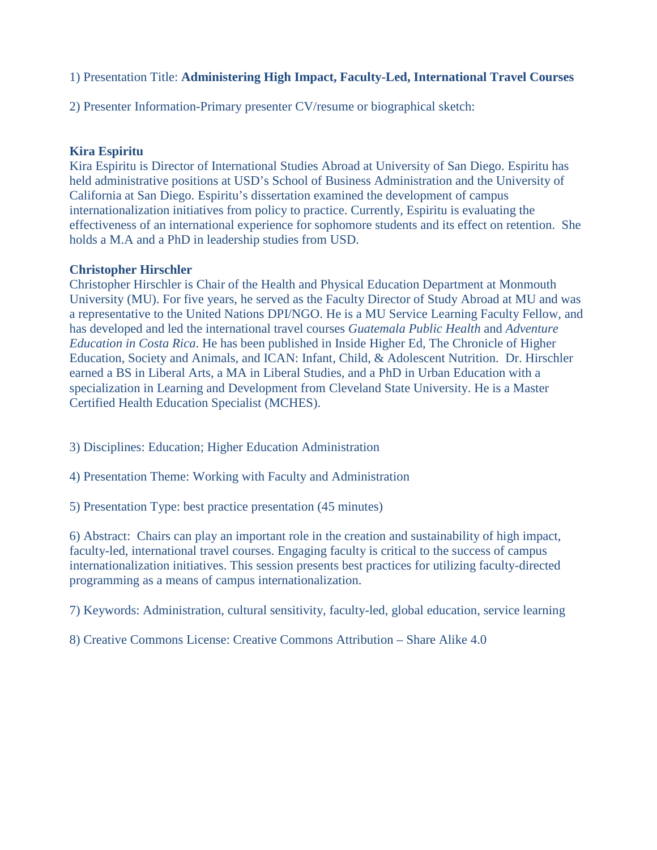# 1) Presentation Title: **Administering High Impact, Faculty-Led, International Travel Courses**

2) Presenter Information-Primary presenter CV/resume or biographical sketch:

# **Kira Espiritu**

Kira Espiritu is Director of International Studies Abroad at University of San Diego. Espiritu has held administrative positions at USD's School of Business Administration and the University of California at San Diego. Espiritu's dissertation examined the development of campus internationalization initiatives from policy to practice. Currently, Espiritu is evaluating the effectiveness of an international experience for sophomore students and its effect on retention. She holds a M.A and a PhD in leadership studies from USD.

### **Christopher Hirschler**

Christopher Hirschler is Chair of the Health and Physical Education Department at Monmouth University (MU). For five years, he served as the Faculty Director of Study Abroad at MU and was a representative to the United Nations DPI/NGO. He is a MU Service Learning Faculty Fellow, and has developed and led the international travel courses *Guatemala Public Health* and *Adventure Education in Costa Rica*. He has been published in Inside Higher Ed, The Chronicle of Higher Education, Society and Animals, and ICAN: Infant, Child, & Adolescent Nutrition. Dr. Hirschler earned a BS in Liberal Arts, a MA in Liberal Studies, and a PhD in Urban Education with a specialization in Learning and Development from Cleveland State University. He is a Master Certified Health Education Specialist (MCHES).

- 3) Disciplines: Education; Higher Education Administration
- 4) Presentation Theme: Working with Faculty and Administration
- 5) Presentation Type: best practice presentation (45 minutes)

6) Abstract: Chairs can play an important role in the creation and sustainability of high impact, faculty-led, international travel courses. Engaging faculty is critical to the success of campus internationalization initiatives. This session presents best practices for utilizing faculty-directed programming as a means of campus internationalization.

7) Keywords: Administration, cultural sensitivity, faculty-led, global education, service learning

8) Creative Commons License: Creative Commons Attribution – Share Alike 4.0